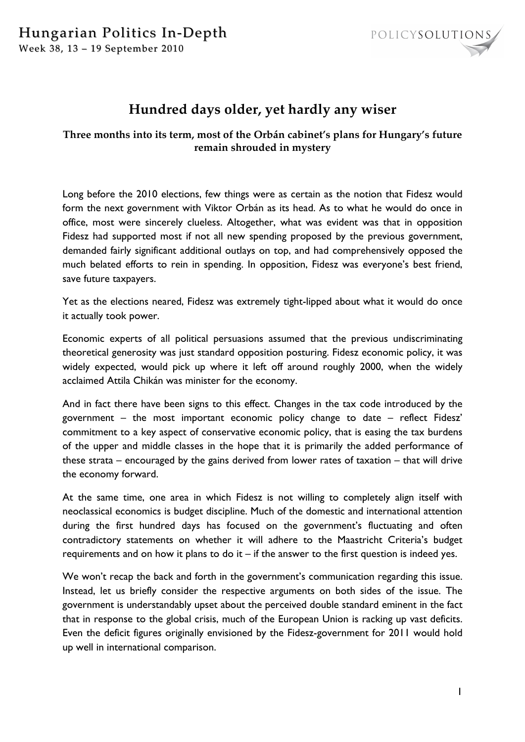## Hungarian Politics In-Depth Week 38, 13 - 19 September 2010



## **Hundred days older, yet hardly any wiser**

## **Three months into its term, most of the Orbán cabinet's plans for Hungary's future remain shrouded in mystery**

Long before the 2010 elections, few things were as certain as the notion that Fidesz would form the next government with Viktor Orbán as its head. As to what he would do once in office, most were sincerely clueless. Altogether, what was evident was that in opposition Fidesz had supported most if not all new spending proposed by the previous government, demanded fairly significant additional outlays on top, and had comprehensively opposed the much belated efforts to rein in spending. In opposition, Fidesz was everyone's best friend, save future taxpayers.

Yet as the elections neared, Fidesz was extremely tight-lipped about what it would do once it actually took power.

Economic experts of all political persuasions assumed that the previous undiscriminating theoretical generosity was just standard opposition posturing. Fidesz economic policy, it was widely expected, would pick up where it left off around roughly 2000, when the widely acclaimed Attila Chikán was minister for the economy.

And in fact there have been signs to this effect. Changes in the tax code introduced by the government – the most important economic policy change to date – reflect Fidesz' commitment to a key aspect of conservative economic policy, that is easing the tax burdens of the upper and middle classes in the hope that it is primarily the added performance of these strata – encouraged by the gains derived from lower rates of taxation – that will drive the economy forward.

At the same time, one area in which Fidesz is not willing to completely align itself with neoclassical economics is budget discipline. Much of the domestic and international attention during the first hundred days has focused on the government's fluctuating and often contradictory statements on whether it will adhere to the Maastricht Criteria's budget requirements and on how it plans to do it – if the answer to the first question is indeed yes.

We won't recap the back and forth in the government's communication regarding this issue. Instead, let us briefly consider the respective arguments on both sides of the issue. The government is understandably upset about the perceived double standard eminent in the fact that in response to the global crisis, much of the European Union is racking up vast deficits. Even the deficit figures originally envisioned by the Fidesz-government for 2011 would hold up well in international comparison.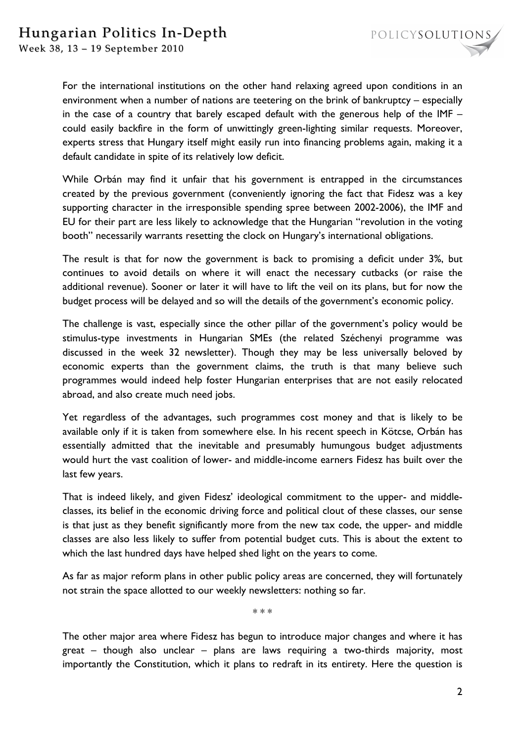

Week 38, 13 - 19 September 2010

For the international institutions on the other hand relaxing agreed upon conditions in an environment when a number of nations are teetering on the brink of bankruptcy – especially in the case of a country that barely escaped default with the generous help of the IMF – could easily backfire in the form of unwittingly green-lighting similar requests. Moreover, experts stress that Hungary itself might easily run into financing problems again, making it a default candidate in spite of its relatively low deficit.

While Orbán may find it unfair that his government is entrapped in the circumstances created by the previous government (conveniently ignoring the fact that Fidesz was a key supporting character in the irresponsible spending spree between 2002-2006), the IMF and EU for their part are less likely to acknowledge that the Hungarian "revolution in the voting booth" necessarily warrants resetting the clock on Hungary's international obligations.

The result is that for now the government is back to promising a deficit under 3%, but continues to avoid details on where it will enact the necessary cutbacks (or raise the additional revenue). Sooner or later it will have to lift the veil on its plans, but for now the budget process will be delayed and so will the details of the government's economic policy.

The challenge is vast, especially since the other pillar of the government's policy would be stimulus-type investments in Hungarian SMEs (the related Széchenyi programme was discussed in the week 32 newsletter). Though they may be less universally beloved by economic experts than the government claims, the truth is that many believe such programmes would indeed help foster Hungarian enterprises that are not easily relocated abroad, and also create much need jobs.

Yet regardless of the advantages, such programmes cost money and that is likely to be available only if it is taken from somewhere else. In his recent speech in Kötcse, Orbán has essentially admitted that the inevitable and presumably humungous budget adjustments would hurt the vast coalition of lower- and middle-income earners Fidesz has built over the last few years.

That is indeed likely, and given Fidesz' ideological commitment to the upper- and middleclasses, its belief in the economic driving force and political clout of these classes, our sense is that just as they benefit significantly more from the new tax code, the upper- and middle classes are also less likely to suffer from potential budget cuts. This is about the extent to which the last hundred days have helped shed light on the years to come.

As far as major reform plans in other public policy areas are concerned, they will fortunately not strain the space allotted to our weekly newsletters: nothing so far.

\* \* \*

The other major area where Fidesz has begun to introduce major changes and where it has great – though also unclear – plans are laws requiring a two-thirds majority, most importantly the Constitution, which it plans to redraft in its entirety. Here the question is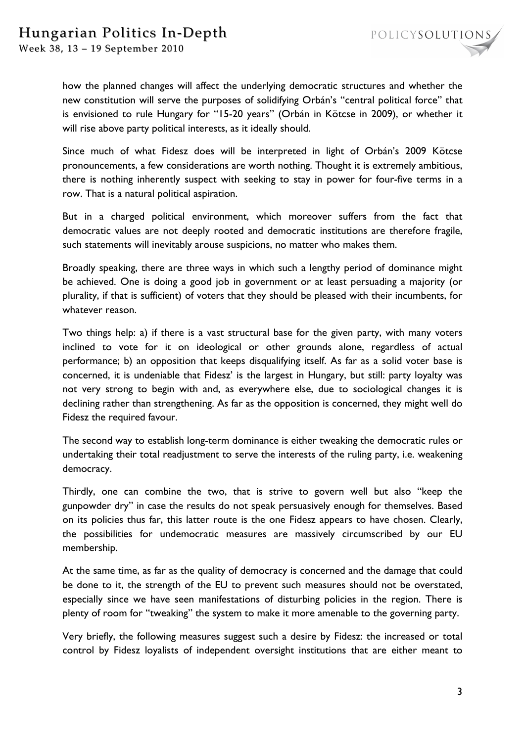

Since much of what Fidesz does will be interpreted in light of Orbán's 2009 Kötcse pronouncements, a few considerations are worth nothing. Thought it is extremely ambitious, there is nothing inherently suspect with seeking to stay in power for four-five terms in a row. That is a natural political aspiration.

But in a charged political environment, which moreover suffers from the fact that democratic values are not deeply rooted and democratic institutions are therefore fragile, such statements will inevitably arouse suspicions, no matter who makes them.

Broadly speaking, there are three ways in which such a lengthy period of dominance might be achieved. One is doing a good job in government or at least persuading a majority (or plurality, if that is sufficient) of voters that they should be pleased with their incumbents, for whatever reason.

Two things help: a) if there is a vast structural base for the given party, with many voters inclined to vote for it on ideological or other grounds alone, regardless of actual performance; b) an opposition that keeps disqualifying itself. As far as a solid voter base is concerned, it is undeniable that Fidesz' is the largest in Hungary, but still: party loyalty was not very strong to begin with and, as everywhere else, due to sociological changes it is declining rather than strengthening. As far as the opposition is concerned, they might well do Fidesz the required favour.

The second way to establish long-term dominance is either tweaking the democratic rules or undertaking their total readjustment to serve the interests of the ruling party, i.e. weakening democracy.

Thirdly, one can combine the two, that is strive to govern well but also "keep the gunpowder dry" in case the results do not speak persuasively enough for themselves. Based on its policies thus far, this latter route is the one Fidesz appears to have chosen. Clearly, the possibilities for undemocratic measures are massively circumscribed by our EU membership.

At the same time, as far as the quality of democracy is concerned and the damage that could be done to it, the strength of the EU to prevent such measures should not be overstated, especially since we have seen manifestations of disturbing policies in the region. There is plenty of room for "tweaking" the system to make it more amenable to the governing party.

Very briefly, the following measures suggest such a desire by Fidesz: the increased or total control by Fidesz loyalists of independent oversight institutions that are either meant to

POLICYSOLUTIONS